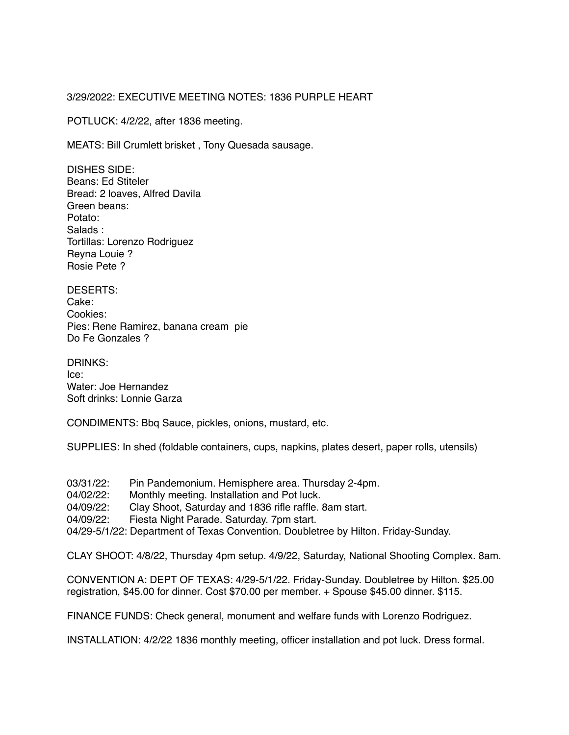## 3/29/2022: EXECUTIVE MEETING NOTES: 1836 PURPLE HEART

POTLUCK: 4/2/22, after 1836 meeting.

MEATS: Bill Crumlett brisket , Tony Quesada sausage.

DISHES SIDE: Beans: Ed Stiteler Bread: 2 loaves, Alfred Davila Green beans: Potato: Salads : Tortillas: Lorenzo Rodriguez Reyna Louie ? Rosie Pete ?

DESERTS: Cake: Cookies: Pies: Rene Ramirez, banana cream pie Do Fe Gonzales ?

DRINKS: Ice: Water: Joe Hernandez Soft drinks: Lonnie Garza

CONDIMENTS: Bbq Sauce, pickles, onions, mustard, etc.

SUPPLIES: In shed (foldable containers, cups, napkins, plates desert, paper rolls, utensils)

- 03/31/22: Pin Pandemonium. Hemisphere area. Thursday 2-4pm.
- 04/02/22: Monthly meeting. Installation and Pot luck.
- 04/09/22: Clay Shoot, Saturday and 1836 rifle raffle. 8am start.
- 04/09/22: Fiesta Night Parade. Saturday. 7pm start.

04/29-5/1/22: Department of Texas Convention. Doubletree by Hilton. Friday-Sunday.

CLAY SHOOT: 4/8/22, Thursday 4pm setup. 4/9/22, Saturday, National Shooting Complex. 8am.

CONVENTION A: DEPT OF TEXAS: 4/29-5/1/22. Friday-Sunday. Doubletree by Hilton. \$25.00 registration, \$45.00 for dinner. Cost \$70.00 per member. + Spouse \$45.00 dinner. \$115.

FINANCE FUNDS: Check general, monument and welfare funds with Lorenzo Rodriguez.

INSTALLATION: 4/2/22 1836 monthly meeting, officer installation and pot luck. Dress formal.